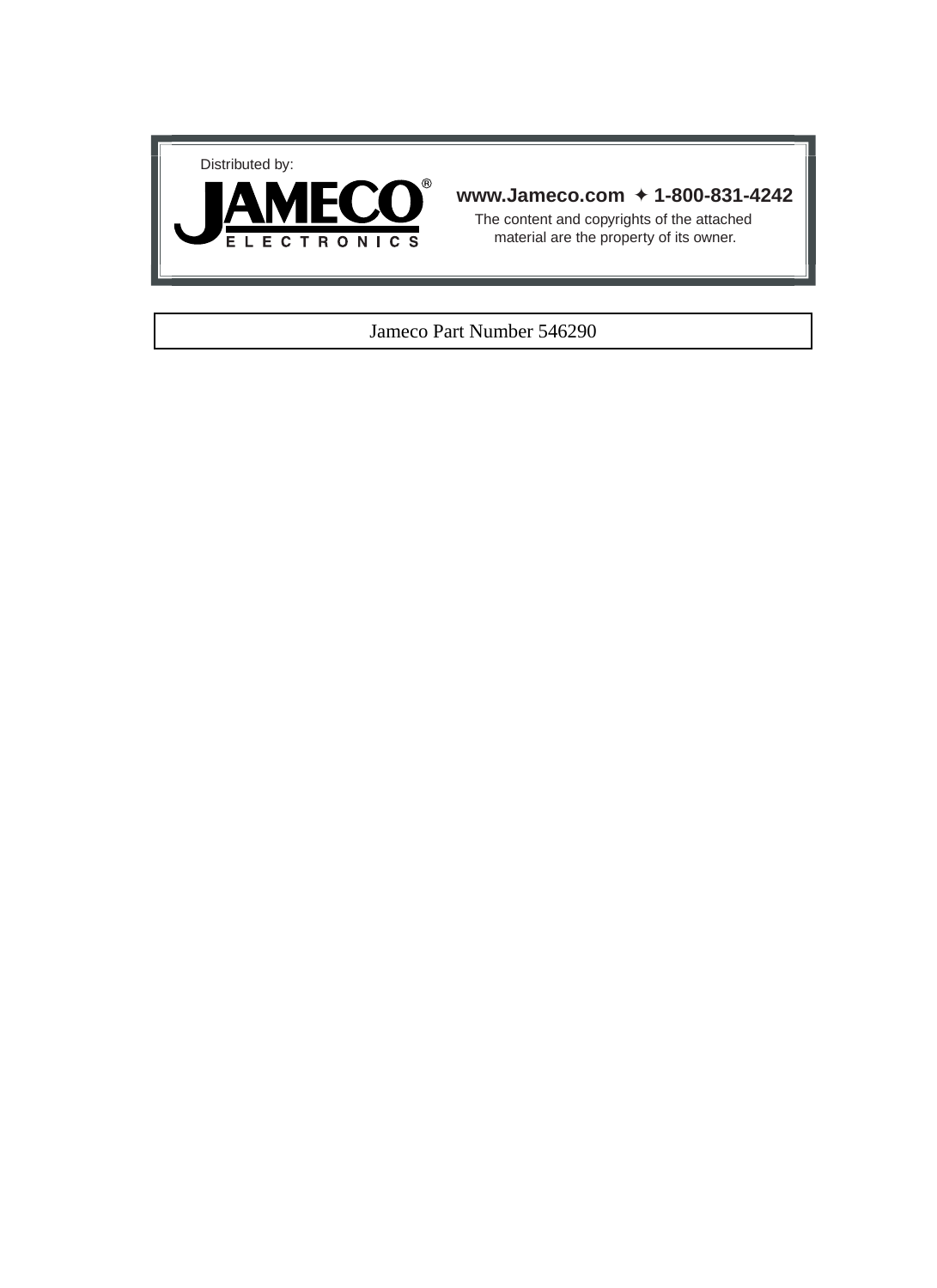



#### **www.Jameco.com** ✦ **1-800-831-4242**

The content and copyrights of the attached material are the property of its owner.

#### Jameco Part Number 546290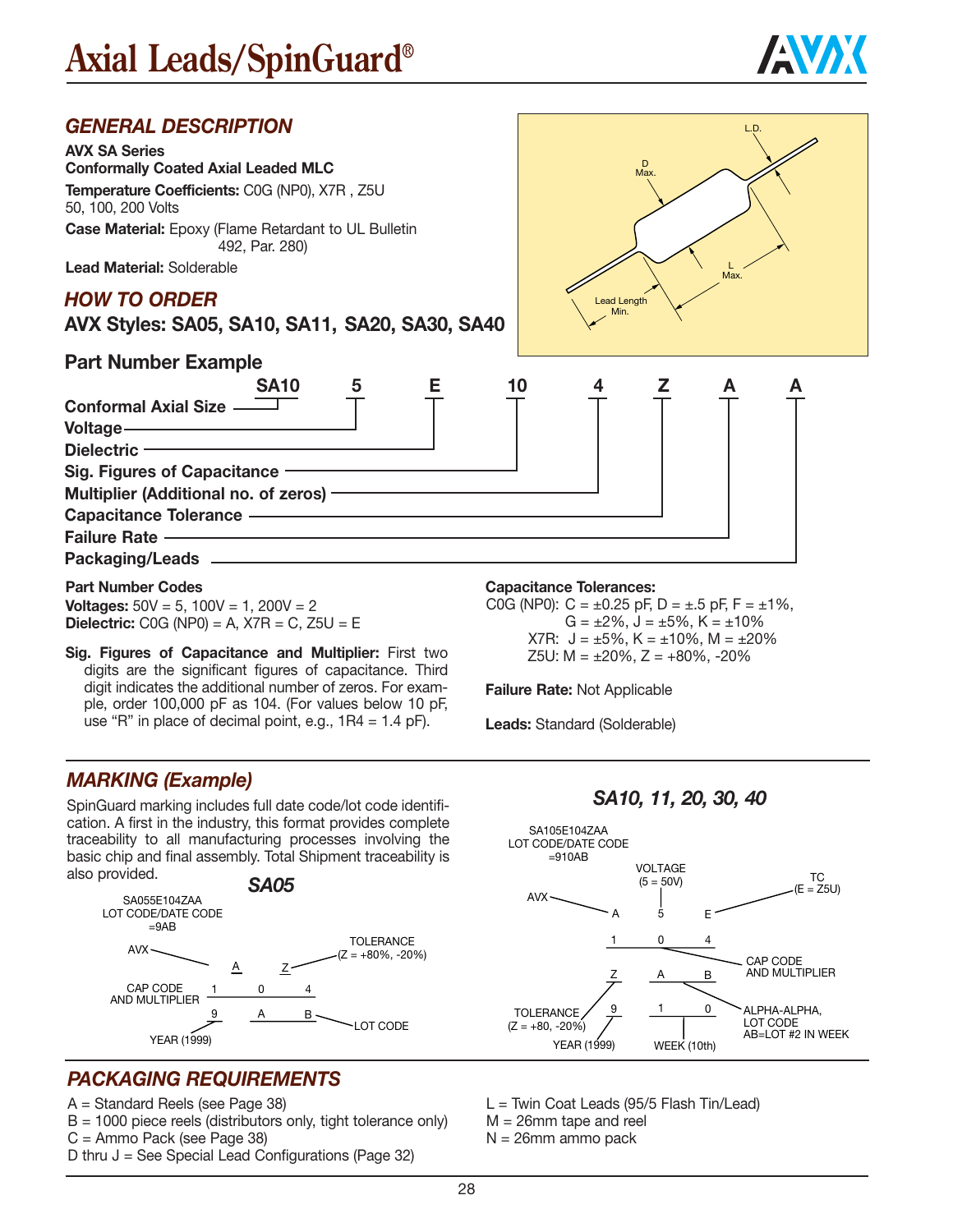



**Voltages:** 50V = 5, 100V = 1, 200V = 2 **Dielectric:** C0G (NP0) = A, X7R = C, Z5U = E

**Sig. Figures of Capacitance and Multiplier:** First two digits are the significant figures of capacitance. Third digit indicates the additional number of zeros. For example, order 100,000 pF as 104. (For values below 10 pF, use "R" in place of decimal point, e.g.,  $1R4 = 1.4$  pF).

### *MARKING (Example)*

SpinGuard marking includes full date code/lot code identification. A first in the industry, this format provides complete traceability to all manufacturing processes involving the basic chip and final assembly. Total Shipment traceability is also provided.



### *PACKAGING REQUIREMENTS*

A = Standard Reels (see Page 38)

- $B = 1000$  piece reels (distributors only, tight tolerance only)
- C = Ammo Pack (see Page 38)
- D thru  $J =$  See Special Lead Configurations (Page 32)

#### **Capacitance Tolerances:**

C0G (NP0):  $C = \pm 0.25$  pF,  $D = \pm .5$  pF,  $F = \pm 1\%$ ,  $G = \pm 2\%$ ,  $J = \pm 5\%$ ,  $K = \pm 10\%$ X7R:  $J = \pm 5\%$ , K =  $\pm 10\%$ , M =  $\pm 20\%$ Z5U:  $M = \pm 20\%$ ,  $Z = +80\%$ ,  $-20\%$ 

**Failure Rate:** Not Applicable

**Leads:** Standard (Solderable)

*SA10, 11, 20, 30, 40*



 $L =$  Twin Coat Leads (95/5 Flash Tin/Lead) M = 26mm tape and reel

N = 26mm ammo pack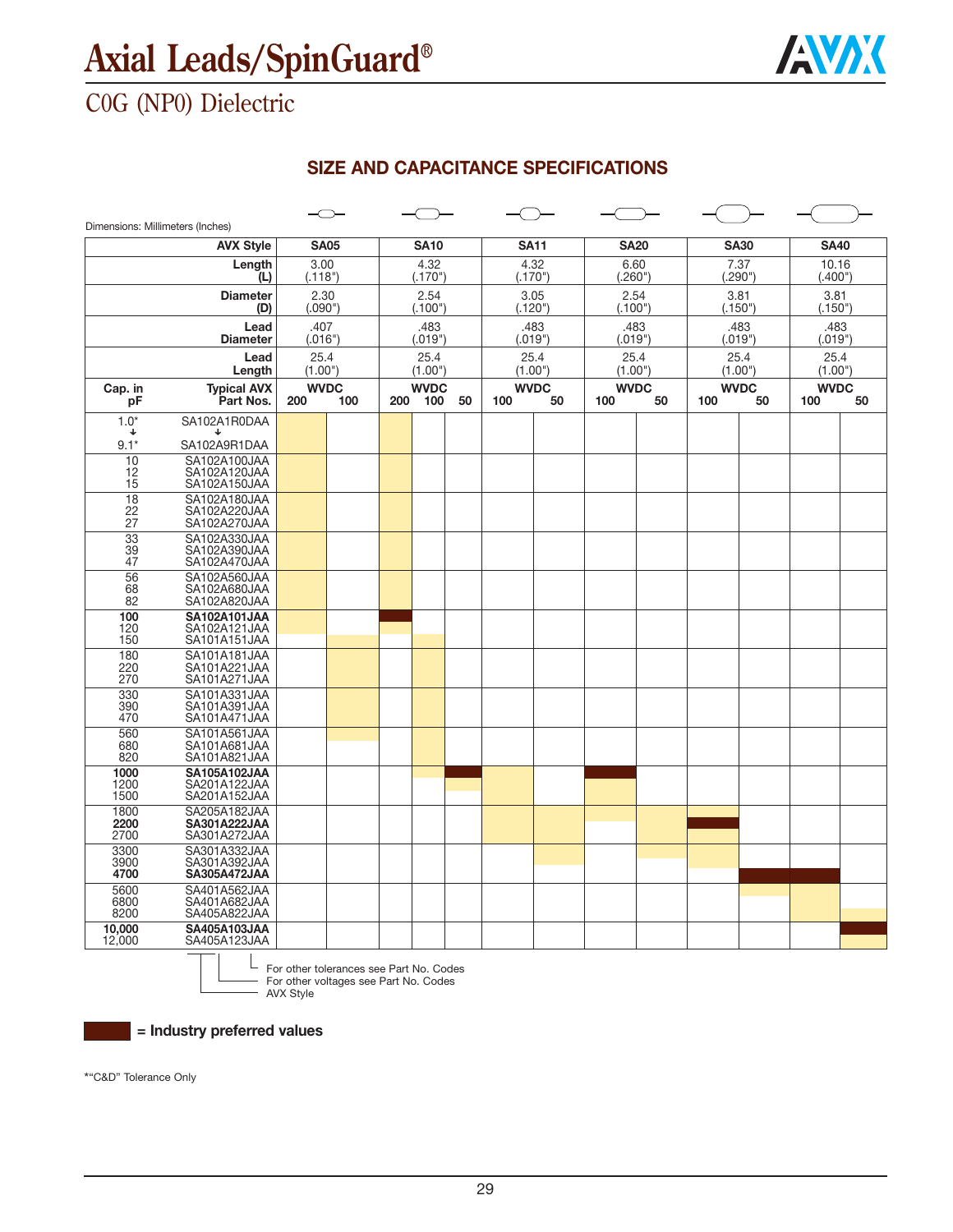

## C0G (NP0) Dielectric

### **SIZE AND CAPACITANCE SPECIFICATIONS**

| Dimensions: Millimeters (Inches) |                                                     |                    |     |                 |                    |                 |     |                   |                    |                 |                 |                   |                    |    |
|----------------------------------|-----------------------------------------------------|--------------------|-----|-----------------|--------------------|-----------------|-----|-------------------|--------------------|-----------------|-----------------|-------------------|--------------------|----|
|                                  | <b>AVX Style</b>                                    | <b>SA05</b>        |     |                 | <b>SA10</b>        |                 |     | <b>SA11</b>       |                    | <b>SA20</b>     |                 | <b>SA30</b>       | <b>SA40</b>        |    |
|                                  | Length<br>(L)                                       | 3.00<br>(.118")    |     |                 | 4.32<br>(.170")    |                 |     | 4.32<br>(.170")   | 6.60<br>(.260")    |                 | 7.37<br>(.290") |                   | 10.16<br>(.400")   |    |
|                                  | <b>Diameter</b><br>(D)                              | 2.30<br>(.090")    |     |                 | 2.54<br>(.100")    |                 |     | 3.05<br>(.120")   | 2.54<br>(.100")    |                 | 3.81<br>(.150") |                   | 3.81<br>(.150")    |    |
|                                  | Lead<br><b>Diameter</b>                             | .407<br>(.016")    |     |                 | .483<br>(.019")    |                 |     | .483<br>(.019")   | (.019")            | .483            | (.019")         | .483              | .483<br>(.019")    |    |
| Lead<br>Length                   |                                                     | 25.4<br>(1.00")    |     | 25.4<br>(1.00") |                    | 25.4<br>(1.00") |     | 25.4<br>(1.00")   |                    | 25.4<br>(1.00") |                 | 25.4<br>(1.00")   |                    |    |
| Cap. in<br>рF                    | <b>Typical AVX</b><br>Part Nos.                     | <b>WVDC</b><br>200 | 100 | 200             | <b>WVDC</b><br>100 | 50              | 100 | <b>WVDC</b><br>50 | <b>WVDC</b><br>100 | 50              | 100             | <b>WVDC</b><br>50 | <b>WVDC</b><br>100 | 50 |
| $1.0*$<br>J                      | SA102A1R0DAA<br>┹                                   |                    |     |                 |                    |                 |     |                   |                    |                 |                 |                   |                    |    |
| $9.1*$                           | SA102A9R1DAA                                        |                    |     |                 |                    |                 |     |                   |                    |                 |                 |                   |                    |    |
| 10<br>12<br>15                   | SA102A100JAA<br>SA102A120JAA<br>SA102A150JAA        |                    |     |                 |                    |                 |     |                   |                    |                 |                 |                   |                    |    |
| $\overline{18}$<br>22<br>27      | SA102A180JAA<br>SA102A220JAA<br>SA102A270JAA        |                    |     |                 |                    |                 |     |                   |                    |                 |                 |                   |                    |    |
| 33<br>39<br>47                   | SA102A330JAA<br>SA102A390JAA<br>SA102A470JAA        |                    |     |                 |                    |                 |     |                   |                    |                 |                 |                   |                    |    |
| $\overline{56}$<br>68<br>82      | SA102A560JAA<br>SA102A680JAA<br>SA102A820JAA        |                    |     |                 |                    |                 |     |                   |                    |                 |                 |                   |                    |    |
| 100<br>120<br>150                | SA102A101JAA<br>SA102A121JAA<br>SA101A151JAA        |                    |     |                 |                    |                 |     |                   |                    |                 |                 |                   |                    |    |
| 180<br>220<br>270                | SA101A181JAA<br>SA101A221JAA<br>SA101A271JAA        |                    |     |                 |                    |                 |     |                   |                    |                 |                 |                   |                    |    |
| 330<br>390<br>470                | SA101A331JAA<br>SA101A391JAA<br>SA101A471JAA        |                    |     |                 |                    |                 |     |                   |                    |                 |                 |                   |                    |    |
| 560<br>680<br>820                | SA101A561JAA<br>SA101A681JAA<br>SA101A821JAA        |                    |     |                 |                    |                 |     |                   |                    |                 |                 |                   |                    |    |
| 1000<br>1200<br>1500             | <b>SA105A102JAA</b><br>SA201A122JAA<br>SA201A152JAA |                    |     |                 |                    |                 |     |                   |                    |                 |                 |                   |                    |    |
| 1800<br>2200<br>2700             | SA205A182JAA<br>SA301A222JAA<br>SA301A272JAA        |                    |     |                 |                    |                 |     |                   |                    |                 |                 |                   |                    |    |
| 3300<br>3900<br>4700             | SA301A332JAA<br>SA301A392JAA<br><b>SA305A472JAA</b> |                    |     |                 |                    |                 |     |                   |                    |                 |                 |                   |                    |    |
| 5600<br>6800<br>8200             | SA401A562JAA<br>SA401A682JAA<br>SA405A822JAA        |                    |     |                 |                    |                 |     |                   |                    |                 |                 |                   |                    |    |
| 10.000<br>12,000                 | SA405A103JAA<br>SA405A123JAA                        |                    |     |                 |                    |                 |     |                   |                    |                 |                 |                   |                    |    |

For other tolerances see Part No. Codes For other voltages see Part No. Codes AVX Style

**= Industry preferred values**

\*"C&D" Tolerance Only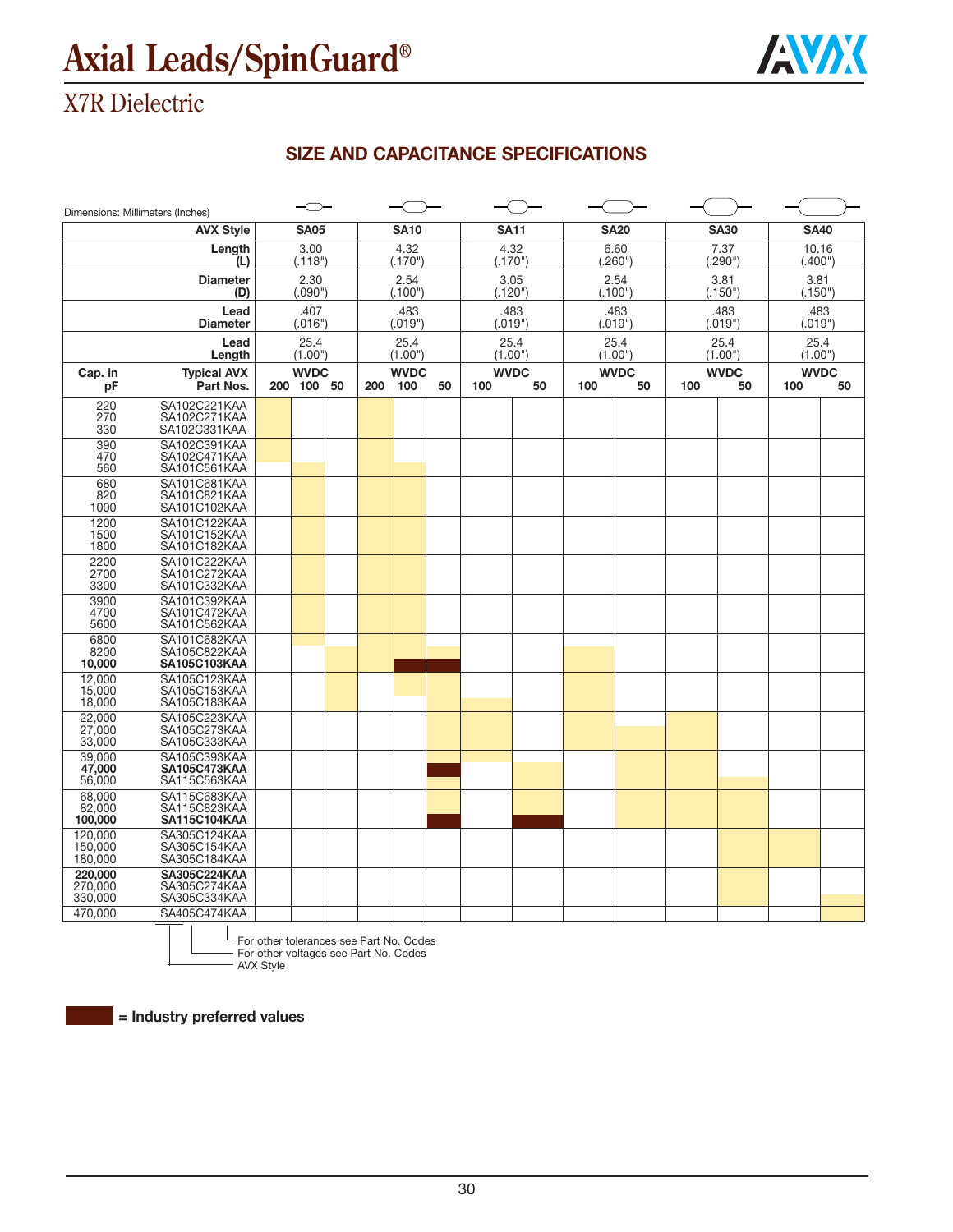

## X7R Dielectric

### **SIZE AND CAPACITANCE SPECIFICATIONS**

| Dimensions: Millimeters (Inches) |                                                     |                           |     |                    |    |     |                   |     |                   |     |                   |                    |    |
|----------------------------------|-----------------------------------------------------|---------------------------|-----|--------------------|----|-----|-------------------|-----|-------------------|-----|-------------------|--------------------|----|
|                                  | <b>AVX Style</b>                                    | <b>SA05</b>               |     | <b>SA10</b>        |    |     | <b>SA11</b>       |     | <b>SA20</b>       |     | <b>SA30</b>       | <b>SA40</b>        |    |
|                                  | Length<br>(L)                                       | 3.00<br>(.118")           |     | 4.32<br>(.170")    |    |     | 4.32<br>(.170")   |     | 6.60<br>(.260")   |     | 7.37<br>(.290")   | 10.16<br>(.400")   |    |
|                                  | <b>Diameter</b><br>(D)                              | 2.30<br>(.090")           |     | 2.54<br>(.100")    |    |     | 3.05<br>(.120")   |     | 2.54<br>(.100")   |     | 3.81<br>(.150")   | 3.81<br>(.150")    |    |
|                                  | Lead<br><b>Diameter</b>                             | .407<br>(.016")           |     | .483<br>(.019")    |    |     | .483<br>(.019")   |     | .483<br>(.019")   |     | .483<br>(.019")   | .483<br>(.019")    |    |
|                                  | Lead<br>Length                                      | 25.4<br>(1.00")           |     | 25.4<br>(1.00")    |    |     | 25.4<br>(1.00")   |     | 25.4<br>(1.00")   |     | 25.4<br>(1.00")   | 25.4<br>(1.00")    |    |
| Cap. in<br>рF                    | <b>Typical AVX</b><br>Part Nos.                     | <b>WVDC</b><br>200 100 50 | 200 | <b>WVDC</b><br>100 | 50 | 100 | <b>WVDC</b><br>50 | 100 | <b>WVDC</b><br>50 | 100 | <b>WVDC</b><br>50 | <b>WVDC</b><br>100 | 50 |
| 220<br>270<br>330                | SA102C221KAA<br>SA102C271KAA<br>SA102C331KAA        |                           |     |                    |    |     |                   |     |                   |     |                   |                    |    |
| 390<br>470<br>560                | SA102C391KAA<br>SA102C471KAA<br>SA101C561KAA        |                           |     |                    |    |     |                   |     |                   |     |                   |                    |    |
| 680<br>820<br>1000               | SA101C681KAA<br>SA101C821KAA<br>SA101C102KAA        |                           |     |                    |    |     |                   |     |                   |     |                   |                    |    |
| 1200<br>1500<br>1800             | SA101C122KAA<br>SA101C152KAA<br>SA101C182KAA        |                           |     |                    |    |     |                   |     |                   |     |                   |                    |    |
| 2200<br>2700<br>3300             | SA101C222KAA<br>SA101C272KAA<br>SA101C332KAA        |                           |     |                    |    |     |                   |     |                   |     |                   |                    |    |
| 3900<br>4700<br>5600             | SA101C392KAA<br>SA101C472KAA<br>SA101C562KAA        |                           |     |                    |    |     |                   |     |                   |     |                   |                    |    |
| 6800<br>8200<br>10.000           | SA101C682KAA<br>SA105C822KAA<br><b>SA105C103KAA</b> |                           |     |                    |    |     |                   |     |                   |     |                   |                    |    |
| 12.000<br>15,000<br>18,000       | SA105C123KAA<br>SA105C153KAA<br>SA105C183KAA        |                           |     |                    |    |     |                   |     |                   |     |                   |                    |    |
| 22.000<br>27,000<br>33,000       | SA105C223KAA<br>SA105C273KAA<br>SA105C333KAA        |                           |     |                    |    |     |                   |     |                   |     |                   |                    |    |
| 39.000<br>47,000<br>56,000       | SA105C393KAA<br><b>SA105C473KAA</b><br>SA115C563KAA |                           |     |                    |    |     |                   |     |                   |     |                   |                    |    |
| 68.000<br>82,000<br>100,000      | SA115C683KAA<br>SA115C823KAA<br><b>SA115C104KAA</b> |                           |     |                    |    |     |                   |     |                   |     |                   |                    |    |
| 120,000<br>150,000<br>180,000    | SA305C124KAA<br>SA305C154KAA<br>SA305C184KAA        |                           |     |                    |    |     |                   |     |                   |     |                   |                    |    |
| 220,000<br>270,000<br>330,000    | <b>SA305C224KAA</b><br>SA305C274KAA<br>SA305C334KAA |                           |     |                    |    |     |                   |     |                   |     |                   |                    |    |
| 470,000                          | SA405C474KAA                                        |                           |     |                    |    |     |                   |     |                   |     |                   |                    |    |

For other tolerances see Part No. Codes

For other voltages see Part No. Codes - AVX Style

**= Industry preferred values**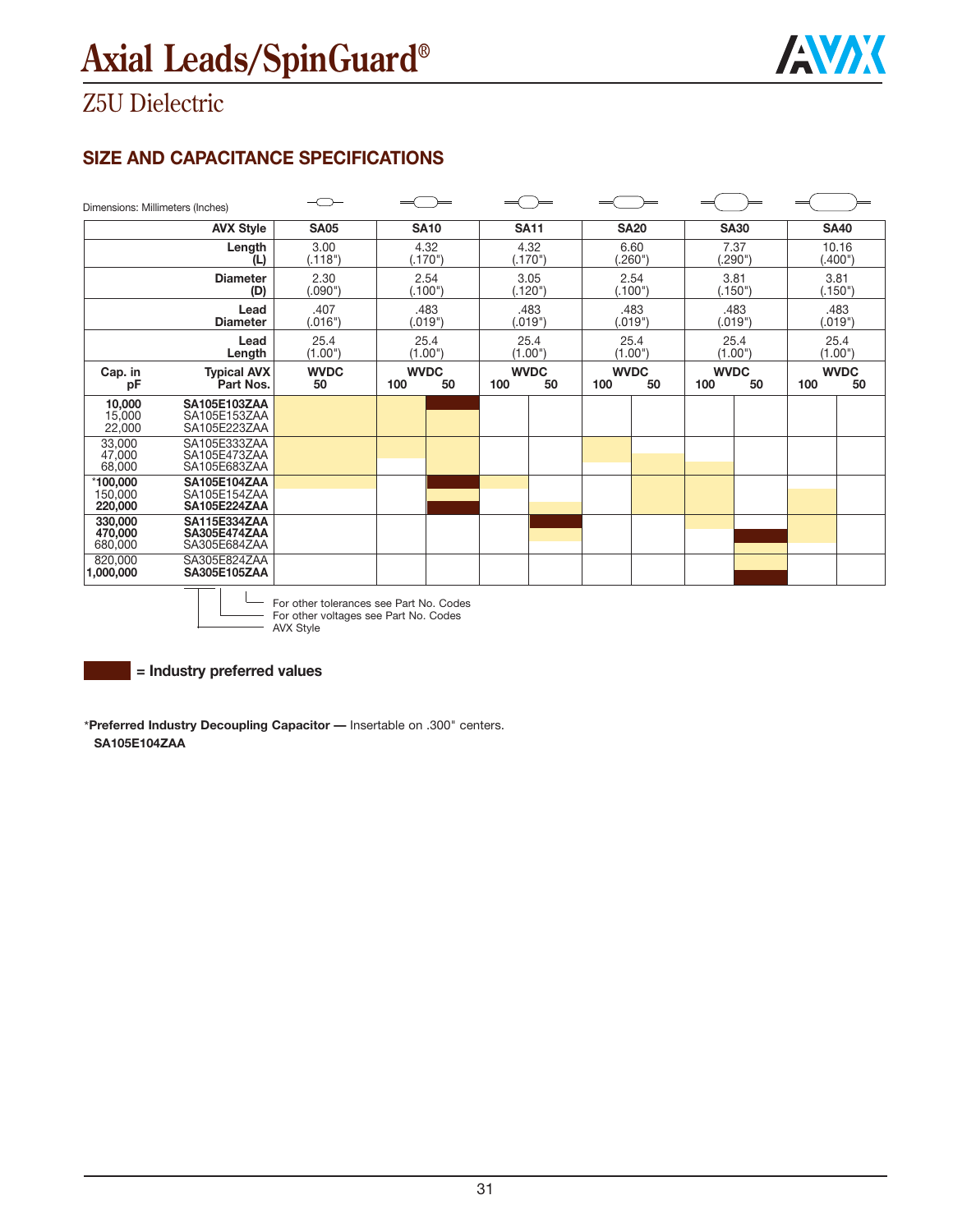

## Z5U Dielectric

### **SIZE AND CAPACITANCE SPECIFICATIONS**

| Dimensions: Millimeters (Inches)                                                     |                                                     |                   |                          |                          |                          |                          |                          |
|--------------------------------------------------------------------------------------|-----------------------------------------------------|-------------------|--------------------------|--------------------------|--------------------------|--------------------------|--------------------------|
|                                                                                      | <b>AVX Style</b>                                    | <b>SA05</b>       | <b>SA10</b>              | <b>SA11</b>              | <b>SA20</b>              | <b>SA30</b>              | <b>SA40</b>              |
|                                                                                      | Length<br>(L)                                       | 3.00<br>(.118")   | 4.32<br>(.170")          | 4.32<br>(.170")          | 6.60<br>(.260")          | 7.37<br>.290"            | 10.16<br>(.400")         |
|                                                                                      | <b>Diameter</b><br>(D)                              | 2.30<br>(.090")   | 2.54<br>(.100")          | 3.05<br>(.120")          | 2.54<br>(.100")          | 3.81<br>(.150")          | 3.81<br>(.150")          |
|                                                                                      | Lead<br><b>Diameter</b>                             | .407<br>(.016")   | .483<br>(.019")          | .483<br>(.019")          | .483<br>(.019")          | .483<br>(.019")          | .483<br>(.019")          |
|                                                                                      | Lead<br>Length                                      | 25.4<br>(1.00")   | 25.4<br>(1.00")          | 25.4<br>(1.00")          | 25.4<br>(1.00")          | 25.4<br>(1.00")          | 25.4<br>(1.00")          |
| Cap. in<br>рF                                                                        | <b>Typical AVX</b><br>Part Nos.                     | <b>WVDC</b><br>50 | <b>WVDC</b><br>100<br>50 | <b>WVDC</b><br>50<br>100 | <b>WVDC</b><br>100<br>50 | <b>WVDC</b><br>50<br>100 | <b>WVDC</b><br>100<br>50 |
| $\begin{array}{c} \textbf{10,000} \\ \textbf{15,000} \\ \textbf{22,000} \end{array}$ | <b>SA105E103ZAA</b><br>SA105E153ZAA<br>SA105E223ZAA |                   |                          |                          |                          |                          |                          |
| 33,000<br>47,000<br>68,000                                                           | SA105E333ZAA<br>SA105E473ZAA<br>SA105E683ZAA        |                   |                          |                          |                          |                          |                          |
| $*100,000$<br>150,000<br>220,000                                                     | <b>SA105E104ZAA</b><br>SA105E154ZAA<br>SA105E224ZAA |                   |                          |                          |                          |                          |                          |
| 330,000<br>470,000<br>680,000                                                        | SA115E334ZAA<br>SA305E474ZAA<br>SA305E684ZAA        |                   |                          |                          |                          |                          |                          |
| 820,000<br>1,000,000                                                                 | SA305E824ZAA<br>SA305E105ZAA                        |                   |                          |                          |                          |                          |                          |



For other tolerances see Part No. Codes For other voltages see Part No. Codes AVX Style

**= Industry preferred values**

\***Preferred Industry Decoupling Capacitor —** Insertable on .300" centers. **SA105E104ZAA**